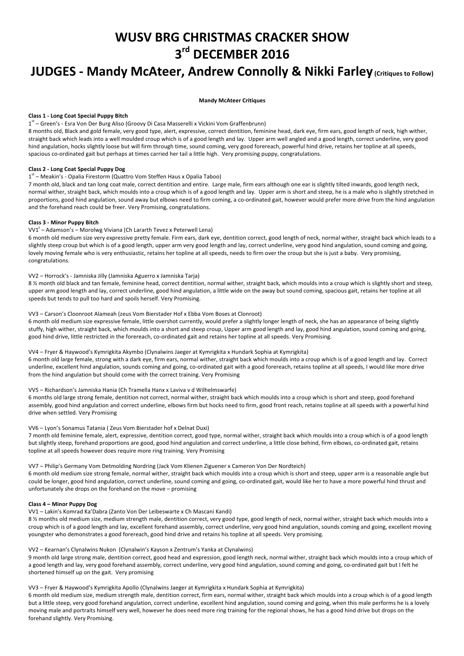# **WUSV BRG CHRISTMAS CRACKER SHOW 3rd DECEMBER 2016**

## **JUDGES** - Mandy McAteer, Andrew Connolly & Nikki Farley (Critiques to Follow)

#### **Mandy McAteer Critiques**

## **Class 1 - Long Coat Special Puppy Bitch**

1<sup>st</sup> – Green's - Esra Von Der Burg Aliso (Groovy Di Casa Masserelli x Vickini Vom Graffenbrunn)

8 months old, Black and gold female, very good type, alert, expressive, correct dentition, feminine head, dark eye, firm ears, good length of neck, high wither, straight back which leads into a well moulded croup which is of a good length and lay. Upper arm well angled and a good length, correct underline, very good hind angulation, hocks slightly loose but will firm through time, sound coming, very good forereach, powerful hind drive, retains her topline at all speeds, spacious co-ordinated gait but perhaps at times carried her tail a little high. Very promising puppy, congratulations.

## **Class 2 - Long Coat Special Puppy Dog**

## 1<sup>st</sup> – Meakin's - Opalia Firestorm (Quattro Vom Steffen Haus x Opalia Taboo)

7 month old, black and tan long coat male, correct dentition and entire. Large male, firm ears although one ear is slightly tilted inwards, good length neck, normal wither, straight back, which moulds into a croup which is of a good length and lay. Upper arm is short and steep, he is a male who is slightly stretched in proportions, good hind angulation, sound away but elbows need to firm coming, a co-ordinated gait, however would prefer more drive from the hind angulation and the forehand reach could be freer. Very Promising, congratulations.

## **Class 3 - Minor Puppy Bitch**

VV1<sup>t</sup> – Adamson's – Morolwg Viviana (Ch Lararth Tevez x Peterwell Lena)

6 month old medium size very expressive pretty female. Firm ears, dark eye, dentition correct, good length of neck, normal wither, straight back which leads to a slightly steep croup but which is of a good length, upper arm very good length and lay, correct underline, very good hind angulation, sound coming and going, lovely moving female who is very enthusiastic, retains her topline at all speeds, needs to firm over the croup but she is just a baby. Very promising, congratulations. 

## VV2 - Horrock's - Jamniska Jilly (Jamniska Aguerro x Jamniska Tarja)

8 % month old black and tan female, feminine head, correct dentition, normal wither, straight back, which moulds into a croup which is slightly short and steep, upper arm good length and lay, correct underline, good hind angulation, a little wide on the away but sound coming, spacious gait, retains her topline at all speeds but tends to pull too hard and spoils herself. Very Promising.

### VV3 - Carson's Cloonroot Alameah (zeus Vom Bierstader Hof x Ebba Vom Boses at Clonroot)

6 month old medium size expressive female, little overshot currently, would prefer a slightly longer length of neck, she has an appearance of being slightly stuffy, high wither, straight back, which moulds into a short and steep croup, Upper arm good length and lay, good hind angulation, sound coming and going, good hind drive, little restricted in the forereach, co-ordinated gait and retains her topline at all speeds. Very Promising.

### VV4 - Fryer & Haywood's Kymrigkita Akymbo (Clynalwins Jaeger at Kymrigkita x Hundark Sophia at Kymrigkita)

6 month old large female, strong with a dark eye, firm ears, normal wither, straight back which moulds into a croup which is of a good length and lay. Correct underline, excellent hind angulation, sounds coming and going, co-ordinated gait with a good forereach, retains topline at all speeds, I would like more drive from the hind angulation but should come with the correct training. Very Promising

#### VV5 - Richardson's Jamniska Hania (Ch Tramella Hanx x Laviva v d Wilhelmswarfe)

6 months old large strong female, dentition not correct, normal wither, straight back which moulds into a croup which is short and steep, good forehand assembly, good hind angulation and correct underline, elbows firm but hocks need to firm, good front reach, retains topline at all speeds with a powerful hind drive when settled. Very Promising

## VV6 - Lyon's Sonamus Tatania ( Zeus Vom Bierstader hof x Delnat Duxi)

7 month old feminine female, alert, expressive, dentition correct, good type, normal wither, straight back which moulds into a croup which is of a good length but slightly steep, forehand proportions are good, good hind angulation and correct underline, a little close behind, firm elbows, co-ordinated gait, retains topline at all speeds however does require more ring training. Very Promising

## VV7 – Philip's Germany Vom Detmolding Nordring (Jack Vom Klienen Ziguener x Cameron Von Der Nordteich)

6 month old medium size strong female, normal wither, straight back which moulds into a croup which is short and steep, upper arm is a reasonable angle but could be longer, good hind angulation, correct underline, sound coming and going, co-ordinated gait, would like her to have a more powerful hind thrust and unfortunately she drops on the forehand on the move - promising

#### **Class 4 – Minor Puppy Dog**

## VV1 - Lakin's Komrad Ka'Dabra (Zanto Von Der Leibeswarte x Ch Mascani Kandi)

8 % months old medium size, medium strength male, dentition correct, very good type, good length of neck, normal wither, straight back which moulds into a croup which is of a good length and lay, excellent forehand assembly, correct underline, very good hind angulation, sounds coming and going, excellent moving youngster who demonstrates a good forereach, good hind drive and retains his topline at all speeds. Very promising.

#### VV2 - Kearnan's Clynalwins Nukon (Clynalwin's Kayson x Zentrum's Yanka at Clynalwins)

9 month old large strong male, dentition correct, good head and expression, good length neck, normal wither, straight back which moulds into a croup which of a good length and lay, very good forehand assembly, correct underline, very good hind angulation, sound coming and going, co-ordinated gait but I felt he shortened himself up on the gait. Very promising

## VV3 – Fryer & Haywood's Kymrigkita Apollo (Clynalwins Jaeger at Kymrigkita x Hundark Sophia at Kymrigkita)

6 month old medium size, medium strength male, dentition correct, firm ears, normal wither, straight back which moulds into a croup which is of a good length but a little steep, very good forehand angulation, correct underline, excellent hind angulation, sound coming and going, when this male performs he is a lovely moving male and portraits himself very well, however he does need more ring training for the regional shows, he has a good hind drive but drops on the forehand slightly. Very Promising.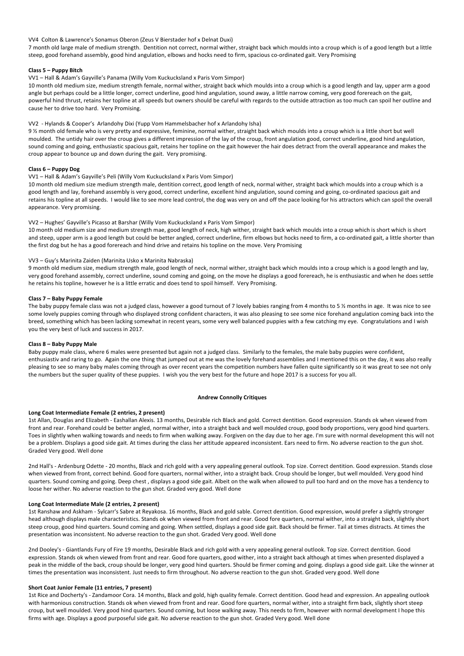#### VV4 Colton & Lawrence's Sonamus Oberon (Zeus V Bierstader hof x Delnat Duxi)

7 month old large male of medium strength. Dentition not correct, normal wither, straight back which moulds into a croup which is of a good length but a little steep, good forehand assembly, good hind angulation, elbows and hocks need to firm, spacious co-ordinated gait. Very Promising

#### **Class 5 – Puppy Bitch**

#### VV1 - Hall & Adam's Gayville's Panama (Willy Vom Kuckucksland x Paris Vom Simpor)

10 month old medium size, medium strength female, normal wither, straight back which moulds into a croup which is a good length and lay, upper arm a good angle but perhaps could be a little longer, correct underline, good hind angulation, sound away, a little narrow coming, very good forereach on the gait, powerful hind thrust, retains her topline at all speeds but owners should be careful with regards to the outside attraction as too much can spoil her outline and cause her to drive too hard. Very Promising.

## VV2 - Hylands & Cooper's Arlandohy Dixi (Yupp Vom Hammelsbacher hof x Arlandohy Isha)

9 % month old female who is very pretty and expressive, feminine, normal wither, straight back which moulds into a croup which is a little short but well moulded. The untidy hair over the croup gives a different impression of the lay of the croup, front angulation good, correct underline, good hind angulation, sound coming and going, enthusiastic spacious gait, retains her topline on the gait however the hair does detract from the overall appearance and makes the croup appear to bounce up and down during the gait. Very promising.

### **Class 6 – Puppy Dog**

## VV1 - Hall & Adam's Gayville's Peli (Willy Vom Kuckucksland x Paris Vom Simpor)

10 month old medium size medium strength male, dentition correct, good length of neck, normal wither, straight back which moulds into a croup which is a good length and lay, forehand assembly is very good, correct underline, excellent hind angulation, sound coming and going, co-ordinated spacious gait and retains his topline at all speeds. I would like to see more lead control, the dog was very on and off the pace looking for his attractors which can spoil the overall appearance. Very promising.

#### VV2 - Hughes' Gayville's Picasso at Barshar (Willy Vom Kuckucksland x Paris Vom Simpor)

10 month old medium size and medium strength mae, good length of neck, high wither, straight back which moulds into a croup which is short which is short and steep, upper arm is a good length but could be better angled, correct underline, firm elbows but hocks need to firm, a co-ordinated gait, a little shorter than the first dog but he has a good forereach and hind drive and retains his topline on the move. Very Promising

### VV3 – Guy's Marinita Zaiden (Marinita Usko x Marinita Nabraska)

9 month old medium size, medium strength male, good length of neck, normal wither, straight back which moulds into a croup which is a good length and lay, very good forehand assembly, correct underline, sound coming and going, on the move he displays a good forereach, he is enthusiastic and when he does settle he retains his topline, however he is a little erratic and does tend to spoil himself. Very Promising.

#### **Class 7 – Baby Puppy Female**

The baby puppy female class was not a judged class, however a good turnout of 7 lovely babies ranging from 4 months to 5  $\frac{1}{2}$  months in age. It was nice to see some lovely puppies coming through who displayed strong confident characters, it was also pleasing to see some nice forehand angulation coming back into the breed, something which has been lacking somewhat in recent years, some very well balanced puppies with a few catching my eye. Congratulations and I wish you the very best of luck and success in 2017.

#### **Class 8 – Baby Puppy Male**

Baby puppy male class, where 6 males were presented but again not a judged class. Similarly to the females, the male baby puppies were confident, enthusiastiv and raring to go. Again the one thing that jumped out at me was the lovely forehand assemblies and I mentioned this on the day, it was also really pleasing to see so many baby males coming through as over recent years the competition numbers have fallen quite significantly so it was great to see not only the numbers but the super quality of these puppies. I wish you the very best for the future and hope 2017 is a success for you all.

### **Andrew Connolly Critiques**

#### Long Coat Intermediate Female (2 entries, 2 present)

1st Allan, Douglas and Elizabeth - Eashallan Alexis. 13 months, Desirable rich Black and gold. Correct dentition. Good expression. Stands ok when viewed from front and rear. Forehand could be better angled, normal wither, into a straight back and well moulded croup, good body proportions, very good hind quarters. Toes in slightly when walking towards and needs to firm when walking away. Forgiven on the day due to her age. I'm sure with normal development this will not be a problem. Displays a good side gait. At times during the class her attitude appeared inconsistent. Ears need to firm. No adverse reaction to the gun shot. Graded Very good. Well done

2nd Hall's - Ardenburg Odette - 20 months, Black and rich gold with a very appealing general outlook. Top size. Correct dentition. Good expression. Stands close when viewed from front, correct behind. Good fore quarters, normal wither, into a straight back. Croup should be longer, but well moulded. Very good hind quarters. Sound coming and going. Deep chest, displays a good side gait. Albeit on the walk when allowed to pull too hard and on the move has a tendency to loose her wither. No adverse reaction to the gun shot. Graded very good. Well done

### Long Coat Intermediate Male (2 entries, 2 present)

1st Ranshaw and Askham - Sylcarr's Sabre at Reyakosa. 16 months, Black and gold sable. Correct dentition. Good expression, would prefer a slightly stronger head although displays male characteristics. Stands ok when viewed from front and rear. Good fore quarters, normal wither, into a straight back, slightly short steep croup, good hind quarters. Sound coming and going. When settled, displays a good side gait. Back should be firmer. Tail at times distracts. At times the presentation was inconsistent. No adverse reaction to the gun shot. Graded Very good. Well done

2nd Dooley's - Giantlands Fury of Fire 19 months, Desirable Black and rich gold with a very appealing general outlook. Top size. Correct dentition. Good expression. Stands ok when viewed from front and rear. Good fore quarters, good wither, into a straight back although at times when presented displayed a peak in the middle of the back, croup should be longer, very good hind quarters. Should be firmer coming and going. displays a good side gait. Like the winner at times the presentation was inconsistent. Just needs to firm throughout. No adverse reaction to the gun shot. Graded very good. Well done

#### Short Coat Junior Female (11 entries, 7 present)

1st Rice and Docherty's - Zandamoor Cora. 14 months, Black and gold, high quality female. Correct dentition. Good head and expression. An appealing outlook with harmonious construction. Stands ok when viewed from front and rear. Good fore quarters, normal wither, into a straight firm back, slightly short steep croup, but well moulded. Very good hind quarters. Sound coming, but loose walking away. This needs to firm, however with normal development I hope this firms with age. Displays a good purposeful side gait. No adverse reaction to the gun shot. Graded Very good. Well done